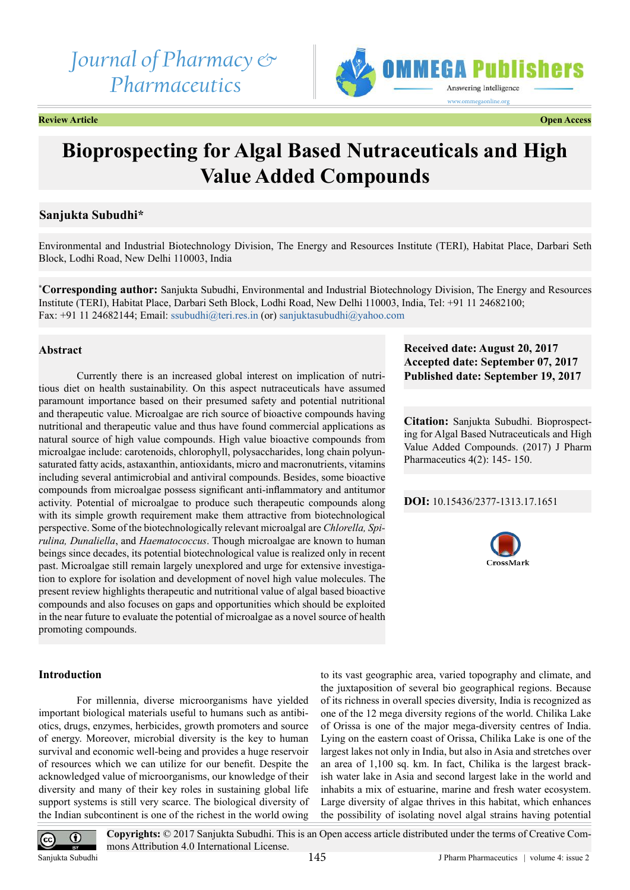# *Journal of Pharmacy & Pharmaceutics*



**Review Article Open Access**

# **Bioprospecting for Algal Based Nutraceuticals and High Value Added Compounds**

# **Sanjukta Subudhi\***

Environmental and Industrial Biotechnology Division, The Energy and Resources Institute (TERI), Habitat Place, Darbari Seth Block, Lodhi Road, New Delhi 110003, India

**\* Corresponding author:** Sanjukta Subudhi, Environmental and Industrial Biotechnology Division, The Energy and Resources Institute (TERI), Habitat Place, Darbari Seth Block, Lodhi Road, New Delhi 110003, India, Tel: +91 11 24682100; Fax: +91 11 24682144; Email: [ssubudhi@teri.res.in](mailto:ssubudhi@teri.res.in) (or) [sanjuktasubudhi@yahoo.com](mailto:sanjuktasubudhi@yahoo.com)

# **Abstract**

Currently there is an increased global interest on implication of nutritious diet on health sustainability. On this aspect nutraceuticals have assumed paramount importance based on their presumed safety and potential nutritional and therapeutic value. Microalgae are rich source of bioactive compounds having nutritional and therapeutic value and thus have found commercial applications as natural source of high value compounds. High value bioactive compounds from microalgae include: carotenoids, chlorophyll, polysaccharides, long chain polyunsaturated fatty acids, astaxanthin, antioxidants, micro and macronutrients, vitamins including several antimicrobial and antiviral compounds. Besides, some bioactive compounds from microalgae possess significant anti-inflammatory and antitumor activity. Potential of microalgae to produce such therapeutic compounds along with its simple growth requirement make them attractive from biotechnological perspective. Some of the biotechnologically relevant microalgal are *Chlorella, Spirulina, Dunaliella*, and *Haematococcus*. Though microalgae are known to human beings since decades, its potential biotechnological value is realized only in recent past. Microalgae still remain largely unexplored and urge for extensive investigation to explore for isolation and development of novel high value molecules. The present review highlights therapeutic and nutritional value of algal based bioactive compounds and also focuses on gaps and opportunities which should be exploited in the near future to evaluate the potential of microalgae as a novel source of health promoting compounds.

# **Introduction**

For millennia, diverse microorganisms have yielded important biological materials useful to humans such as antibiotics, drugs, enzymes, herbicides, growth promoters and source of energy. Moreover, microbial diversity is the key to human survival and economic well-being and provides a huge reservoir of resources which we can utilize for our benefit. Despite the acknowledged value of microorganisms, our knowledge of their diversity and many of their key roles in sustaining global life support systems is still very scarce. The biological diversity of the Indian subcontinent is one of the richest in the world owing

# **Received date: August 20, 2017 Accepted date: September 07, 2017 Published date: September 19, 2017**

**Citation:** Sanjukta Subudhi. Bioprospecting for Algal Based Nutraceuticals and High Value Added Compounds. (2017) J Pharm Pharmaceutics 4(2): 145- 150.

# **DOI:** [10.15436/2377-1313.17.](https://doi.org/10.15436/2377-1313.17.1651)1651



to its vast geographic area, varied topography and climate, and the juxtaposition of several bio geographical regions. Because of its richness in overall species diversity, India is recognized as one of the 12 mega diversity regions of the world. Chilika Lake of Orissa is one of the major mega-diversity centres of India. Lying on the eastern coast of Orissa, Chilika Lake is one of the largest lakes not only in India, but also in Asia and stretches over an area of 1,100 sq. km. In fact, Chilika is the largest brackish water lake in Asia and second largest lake in the world and inhabits a mix of estuarine, marine and fresh water ecosystem. Large diversity of algae thrives in this habitat, which enhances the possibility of isolating novel algal strains having potential

**Copyrights:** © 2017 Sanjukta Subudhi. This is an Open access article distributed under the terms of Creative Commons Attribution 4.0 International License.

(cc

 $^\circledR$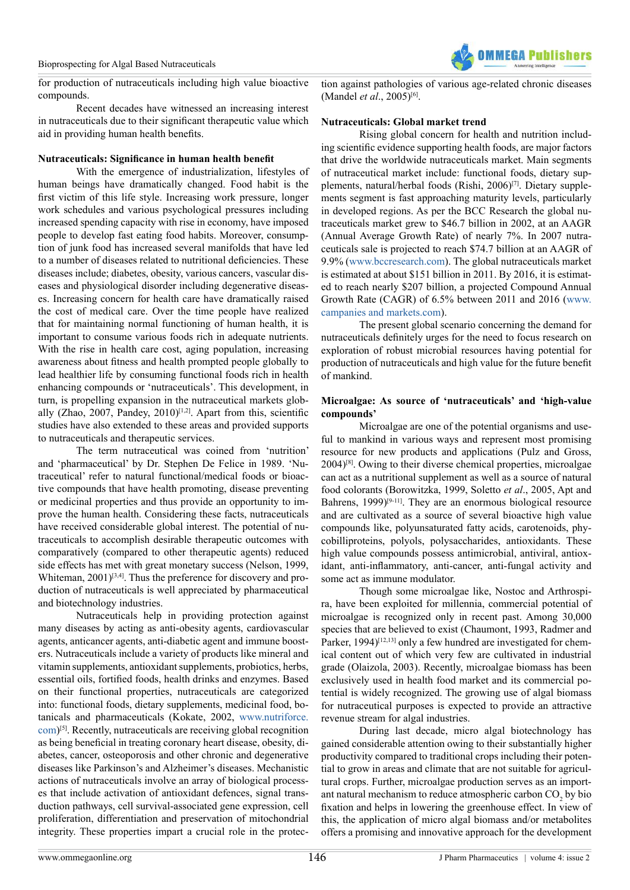for production of nutraceuticals including high value bioactive compounds.

Recent decades have witnessed an increasing interest in nutraceuticals due to their significant therapeutic value which aid in providing human health benefits.

#### **Nutraceuticals: Significance in human health benefit**

With the emergence of industrialization, lifestyles of human beings have dramatically changed. Food habit is the first victim of this life style. Increasing work pressure, longer work schedules and various psychological pressures including increased spending capacity with rise in economy, have imposed people to develop fast eating food habits. Moreover, consumption of junk food has increased several manifolds that have led to a number of diseases related to nutritional deficiencies. These diseases include; diabetes, obesity, various cancers, vascular diseases and physiological disorder including degenerative diseases. Increasing concern for health care have dramatically raised the cost of medical care. Over the time people have realized that for maintaining normal functioning of human health, it is important to consume various foods rich in adequate nutrients. With the rise in health care cost, aging population, increasing awareness about fitness and health prompted people globally to lead healthier life by consuming functional foods rich in health enhancing compounds or 'nutraceuticals'. This development, in turn, is propelling expansion in the nutraceutical markets glob-ally (Zhao, 2007, Pandey, 2010)<sup>[\[1,2\]](#page-4-0)</sup>. Apart from this, scientific studies have also extended to these areas and provided supports to nutraceuticals and therapeutic services.

The term nutraceutical was coined from 'nutrition' and 'pharmaceutical' by Dr. Stephen De Felice in 1989. 'Nutraceutical' refer to natural functional/medical foods or bioactive compounds that have health promoting, disease preventing or medicinal properties and thus provide an opportunity to improve the human health. Considering these facts, nutraceuticals have received considerable global interest. The potential of nutraceuticals to accomplish desirable therapeutic outcomes with comparatively (compared to other therapeutic agents) reduced side effects has met with great monetary success (Nelson, 1999, Whiteman,  $2001$ <sup>[\[3,4\]](#page-4-1)</sup>. Thus the preference for discovery and production of nutraceuticals is well appreciated by pharmaceutical and biotechnology industries.

Nutraceuticals help in providing protection against many diseases by acting as anti-obesity agents, cardiovascular agents, anticancer agents, anti-diabetic agent and immune boosters. Nutraceuticals include a variety of products like mineral and vitamin supplements, antioxidant supplements, probiotics, herbs, essential oils, fortified foods, health drinks and enzymes. Based on their functional properties, nutraceuticals are categorized into: functional foods, dietary supplements, medicinal food, botanicals and pharmaceuticals (Kokate, 2002, [www.nutriforce.](http://www.nutriforce.com) [com](http://www.nutriforce.com)) [\[5\]](#page-4-2). Recently, nutraceuticals are receiving global recognition as being beneficial in treating coronary heart disease, obesity, diabetes, cancer, osteoporosis and other chronic and degenerative diseases like Parkinson's and Alzheimer's diseases. Mechanistic actions of nutraceuticals involve an array of biological processes that include activation of antioxidant defences, signal transduction pathways, cell survival-associated gene expression, cell proliferation, differentiation and preservation of mitochondrial integrity. These properties impart a crucial role in the protection against pathologies of various age-related chronic diseases (Mandel *et al*., 2005[\)\[6\]](#page-4-3).

**OMMFCA Publici** 

#### **Nutraceuticals: Global market trend**

Rising global concern for health and nutrition including scientific evidence supporting health foods, are major factors that drive the worldwide nutraceuticals market. Main segments of nutraceutical market include: functional foods, dietary sup-plements, natural/herbal foods (Rishi, 2006)<sup>[\[7\]](#page-4-4)</sup>. Dietary supplements segment is fast approaching maturity levels, particularly in developed regions. As per the BCC Research the global nutraceuticals market grew to \$46.7 billion in 2002, at an AAGR (Annual Average Growth Rate) of nearly 7%. In 2007 nutraceuticals sale is projected to reach \$74.7 billion at an AAGR of 9.9% ([www.bccresearch.com](http://www.bccresearch.com)). The global nutraceuticals market is estimated at about \$151 billion in 2011. By 2016, it is estimated to reach nearly \$207 billion, a projected Compound Annual Growth Rate (CAGR) of 6.5% between 2011 and 2016 ([www.](http://www.campanies and markets.com) [campanies and markets.com](http://www.campanies and markets.com)).

The present global scenario concerning the demand for nutraceuticals definitely urges for the need to focus research on exploration of robust microbial resources having potential for production of nutraceuticals and high value for the future benefit of mankind.

#### **Microalgae: As source of 'nutraceuticals' and 'high-value compounds'**

Microalgae are one of the potential organisms and useful to mankind in various ways and represent most promising resource for new products and applications (Pulz and Gross,  $2004$ <sup>[\[8\]](#page-4-5)</sup>. Owing to their diverse chemical properties, microalgae can act as a nutritional supplement as well as a source of natural food colorants (Borowitzka, 1999, Soletto *et al*., 2005, Apt and Bahrens,  $1999$ <sup>[\[9-11\]](#page-4-6)</sup>. They are an enormous biological resource and are cultivated as a source of several bioactive high value compounds like, polyunsaturated fatty acids, carotenoids, phycobilliproteins, polyols, polysaccharides, antioxidants. These high value compounds possess antimicrobial, antiviral, antioxidant, anti-inflammatory, anti-cancer, anti-fungal activity and some act as immune modulator.

Though some microalgae like, Nostoc and Arthrospira, have been exploited for millennia, commercial potential of microalgae is recognized only in recent past. Among 30,000 species that are believed to exist (Chaumont, 1993, Radmer and Parker, 1994)<sup>[12,13]</sup> only a few hundred are investigated for chemical content out of which very few are cultivated in industrial grade (Olaizola, 2003). Recently, microalgae biomass has been exclusively used in health food market and its commercial potential is widely recognized. The growing use of algal biomass for nutraceutical purposes is expected to provide an attractive revenue stream for algal industries.

During last decade, micro algal biotechnology has gained considerable attention owing to their substantially higher productivity compared to traditional crops including their potential to grow in areas and climate that are not suitable for agricultural crops. Further, microalgae production serves as an important natural mechanism to reduce atmospheric carbon  $CO<sub>2</sub>$  by bio fixation and helps in lowering the greenhouse effect. In view of this, the application of micro algal biomass and/or metabolites offers a promising and innovative approach for the development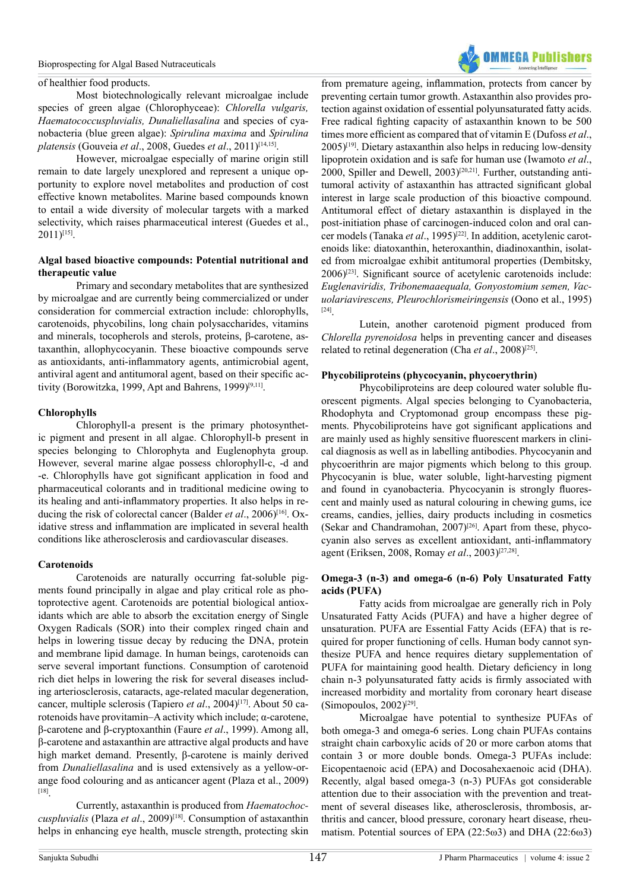

of healthier food products.

Most biotechnologically relevant microalgae include species of green algae (Chlorophyceae): *Chlorella vulgaris, Haematococcuspluvialis, Dunaliellasalina* and species of cyanobacteria (blue green algae): *Spirulina maxima* and *Spirulina platensis* (Gouveia *et al*., 2008, Guedes *et al*., 2011[\)\[14,15\]](#page-4-8).

However, microalgae especially of marine origin still remain to date largely unexplored and represent a unique opportunity to explore novel metabolites and production of cost effective known metabolites. Marine based compounds known to entail a wide diversity of molecular targets with a marked selectivity, which raises pharmaceutical interest (Guedes et al.,  $2011$ <sup>[\[15\]](#page-4-9)</sup>.

# **Algal based bioactive compounds: Potential nutritional and therapeutic value**

Primary and secondary metabolites that are synthesized by microalgae and are currently being commercialized or under consideration for commercial extraction include: chlorophylls, carotenoids, phycobilins, long chain polysaccharides, vitamins and minerals, tocopherols and sterols, proteins, β-carotene, astaxanthin, allophycocyanin. These bioactive compounds serve as antioxidants, anti-inflammatory agents, antimicrobial agent, antiviral agent and antitumoral agent, based on their specific ac-tivity (Borowitzka, 1999, Apt and Bahrens, 1999)<sup>[\[9,11\]](#page-4-6)</sup>.

#### **Chlorophylls**

Chlorophyll-a present is the primary photosynthetic pigment and present in all algae. Chlorophyll-b present in species belonging to Chlorophyta and Euglenophyta group. However, several marine algae possess chlorophyll-c, -d and -e. Chlorophylls have got significant application in food and pharmaceutical colorants and in traditional medicine owing to its healing and anti-inflammatory properties. It also helps in reducing the risk of colorectal cancer (Balder *et al.*, 2006)<sup>[16]</sup>. Oxidative stress and inflammation are implicated in several health conditions like atherosclerosis and cardiovascular diseases.

#### **Carotenoids**

Carotenoids are naturally occurring fat-soluble pigments found principally in algae and play critical role as photoprotective agent. Carotenoids are potential biological antioxidants which are able to absorb the excitation energy of Single Oxygen Radicals (SOR) into their complex ringed chain and helps in lowering tissue decay by reducing the DNA, protein and membrane lipid damage. In human beings, carotenoids can serve several important functions. Consumption of carotenoid rich diet helps in lowering the risk for several diseases including arteriosclerosis, cataracts, age-related macular degeneration, cancer, multiple sclerosis (Tapiero *et al.*, 2004)<sup>[\[17\]](#page-4-11)</sup>. About 50 carotenoids have provitamin–A activity which include; α-carotene, β-carotene and β-cryptoxanthin (Faure *et al*., 1999). Among all, β-carotene and astaxanthin are attractive algal products and have high market demand. Presently, β-carotene is mainly derived from *Dunaliellasalina* and is used extensively as a yellow-orange food colouring and as anticancer agent (Plaza et al., 2009) [\[18\]](#page-4-12).

Currently, astaxanthin is produced from *Haematochoccuspluvialis* (Plaza *et al*., 2009[\)\[18\]](#page-4-12). Consumption of astaxanthin helps in enhancing eye health, muscle strength, protecting skin from premature ageing, inflammation, protects from cancer by preventing certain tumor growth. Astaxanthin also provides protection against oxidation of essential polyunsaturated fatty acids. Free radical fighting capacity of astaxanthin known to be 500 times more efficient as compared that of vitamin E (Dufoss *et al*.,  $2005$ <sup>[19]</sup>. Dietary astaxanthin also helps in reducing low-density lipoprotein oxidation and is safe for human use (Iwamoto *et al*., 2000, Spiller and Dewell, 2003)[\[20,21\]](#page-4-14). Further, outstanding antitumoral activity of astaxanthin has attracted significant global interest in large scale production of this bioactive compound. Antitumoral effect of dietary astaxanthin is displayed in the post-initiation phase of carcinogen-induced colon and oral cancer models (Tanaka *et al*., 1995)[\[22\].](#page-4-15) In addition, acetylenic carotenoids like: diatoxanthin, heteroxanthin, diadinoxanthin, isolated from microalgae exhibit antitumoral properties (Dembitsky, 2006[\)\[23\].](#page-4-16) Significant source of acetylenic carotenoids include: *Euglenaviridis, Tribonemaaequala, Gonyostomium semen, Vacuolariavirescens, Pleurochlorismeiringensis* (Oono et al., 1995) [\[24\]](#page-4-17).

Lutein, another carotenoid pigment produced from *Chlorella pyrenoidosa* helps in preventing cancer and diseases related to retinal degeneration (Cha *et al*., 2008[\)\[25\]](#page-4-18).

#### **Phycobiliproteins (phycocyanin, phycoerythrin)**

Phycobiliproteins are deep coloured water soluble fluorescent pigments. Algal species belonging to Cyanobacteria, Rhodophyta and Cryptomonad group encompass these pigments. Phycobiliproteins have got significant applications and are mainly used as highly sensitive fluorescent markers in clinical diagnosis as well as in labelling antibodies. Phycocyanin and phycoerithrin are major pigments which belong to this group. Phycocyanin is blue, water soluble, light-harvesting pigment and found in cyanobacteria. Phycocyanin is strongly fluorescent and mainly used as natural colouring in chewing gums, ice creams, candies, jellies, dairy products including in cosmetics (Sekar and Chandramohan,  $2007$ <sup>[26]</sup>. Apart from these, phycocyanin also serves as excellent antioxidant, anti-inflammatory agent (Eriksen, 2008, Romay *et al*., 2003[\)\[27,28\]](#page-4-20).

#### **Omega-3 (n-3) and omega-6 (n-6) Poly Unsaturated Fatty acids (PUFA)**

Fatty acids from microalgae are generally rich in Poly Unsaturated Fatty Acids (PUFA) and have a higher degree of unsaturation. PUFA are Essential Fatty Acids (EFA) that is required for proper functioning of cells. Human body cannot synthesize PUFA and hence requires dietary supplementation of PUFA for maintaining good health. Dietary deficiency in long chain n-3 polyunsaturated fatty acids is firmly associated with increased morbidity and mortality from coronary heart disease  $(Simopoulos, 2002)^{[29]}$ .

Microalgae have potential to synthesize PUFAs of both omega-3 and omega-6 series. Long chain PUFAs contains straight chain carboxylic acids of 20 or more carbon atoms that contain 3 or more double bonds. Omega-3 PUFAs include: Eicopentaenoic acid (EPA) and Docosahexaenoic acid (DHA). Recently, algal based omega-3 (n-3) PUFAs got considerable attention due to their association with the prevention and treatment of several diseases like, atherosclerosis, thrombosis, arthritis and cancer, blood pressure, coronary heart disease, rheumatism. Potential sources of EPA (22:5ω3) and DHA (22:6ω3)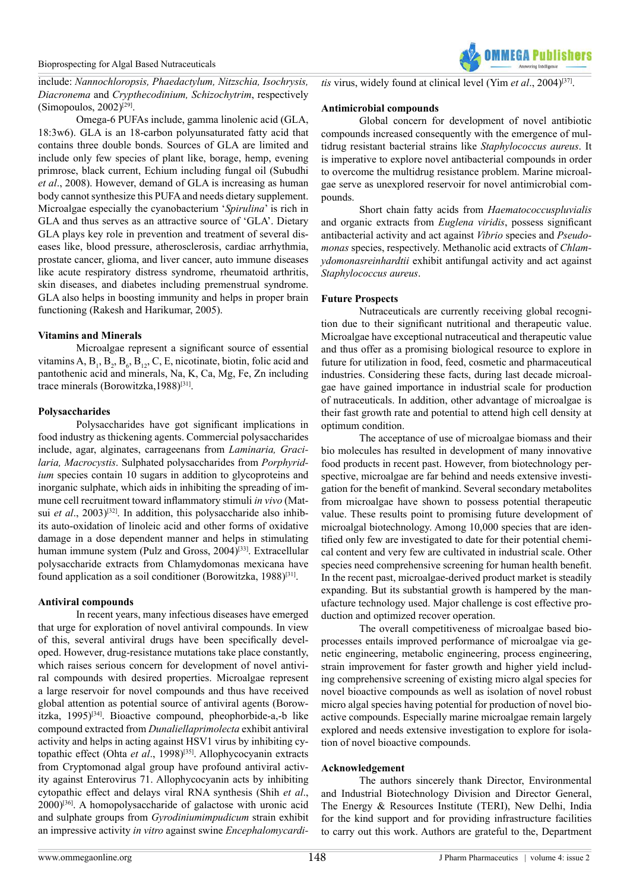

include: *Nannochloropsis, Phaedactylum, Nitzschia, Isochrysis, Diacronema* and *Crypthecodinium, Schizochytrim*, respectively (Simopoulos, 2002)<sup>[29]</sup>.

Omega-6 PUFAs include, gamma linolenic acid (GLA, 18:3w6). GLA is an 18-carbon polyunsaturated fatty acid that contains three double bonds. Sources of GLA are limited and include only few species of plant like, borage, hemp, evening primrose, black current, Echium including fungal oil (Subudhi *et al*., 2008). However, demand of GLA is increasing as human body cannot synthesize this PUFA and needs dietary supplement. Microalgae especially the cyanobacterium '*Spirulina*' is rich in GLA and thus serves as an attractive source of 'GLA'. Dietary GLA plays key role in prevention and treatment of several diseases like, blood pressure, atherosclerosis, cardiac arrhythmia, prostate cancer, glioma, and liver cancer, auto immune diseases like acute respiratory distress syndrome, rheumatoid arthritis, skin diseases, and diabetes including premenstrual syndrome. GLA also helps in boosting immunity and helps in proper brain functioning (Rakesh and Harikumar, 2005).

#### **Vitamins and Minerals**

Microalgae represent a significant source of essential vitamins A,  $B_1$ ,  $B_2$ ,  $B_6$ ,  $B_{12}$ , C, E, nicotinate, biotin, folic acid and pantothenic acid and minerals, Na, K, Ca, Mg, Fe, Zn including trace minerals (Borowitzka, 1988)<sup>[\[31\]](#page-4-22)</sup>.

#### **Polysaccharides**

Polysaccharides have got significant implications in food industry as thickening agents. Commercial polysaccharides include, agar, alginates, carrageenans from *Laminaria, Gracilaria, Macrocystis*. Sulphated polysaccharides from *Porphyridium* species contain 10 sugars in addition to glycoproteins and inorganic sulphate, which aids in inhibiting the spreading of immune cell recruitment toward inflammatory stimuli *in vivo* (Matsui *et al.*,  $2003$ <sup>[32]</sup>. In addition, this polysaccharide also inhibits auto-oxidation of linoleic acid and other forms of oxidative damage in a dose dependent manner and helps in stimulating human immune system (Pulz and Gross, 2004)<sup>[33]</sup>. Extracellular polysaccharide extracts from Chlamydomonas mexicana have found application as a soil conditioner (Borowitzka, 1988)<sup>[\[31\]](#page-4-22)</sup>.

# **Antiviral compounds**

In recent years, many infectious diseases have emerged that urge for exploration of novel antiviral compounds. In view of this, several antiviral drugs have been specifically developed. However, drug-resistance mutations take place constantly, which raises serious concern for development of novel antiviral compounds with desired properties. Microalgae represent a large reservoir for novel compounds and thus have received global attention as potential source of antiviral agents (Borowitzka, 1995)[\[34\]](#page-5-0). Bioactive compound, pheophorbide-a,-b like compound extracted from *Dunaliellaprimolecta* exhibit antiviral activity and helps in acting against HSV1 virus by inhibiting cytopathic effect (Ohta et al., 1998)<sup>[35]</sup>. Allophycocyanin extracts from Cryptomonad algal group have profound antiviral activity against Enterovirus 71. Allophycocyanin acts by inhibiting cytopathic effect and delays viral RNA synthesis (Shih *et al*., 2000[\)\[36\]](#page-5-2). A homopolysaccharide of galactose with uronic acid and sulphate groups from *Gyrodiniumimpudicum* strain exhibit an impressive activity *in vitro* against swine *Encephalomycardi-*

*tis* virus, widely found at clinical level (Yim *et al*., 2004[\)\[37\]](#page-5-3).

### **Antimicrobial compounds**

Global concern for development of novel antibiotic compounds increased consequently with the emergence of multidrug resistant bacterial strains like *Staphylococcus aureus*. It is imperative to explore novel antibacterial compounds in order to overcome the multidrug resistance problem. Marine microalgae serve as unexplored reservoir for novel antimicrobial compounds.

Short chain fatty acids from *Haematococcuspluvialis* and organic extracts from *Euglena viridis*, possess significant antibacterial activity and act against *Vibrio* species and *Pseudomonas* species, respectively. Methanolic acid extracts of *Chlamydomonasreinhardtii* exhibit antifungal activity and act against *Staphylococcus aureus*.

# **Future Prospects**

Nutraceuticals are currently receiving global recognition due to their significant nutritional and therapeutic value. Microalgae have exceptional nutraceutical and therapeutic value and thus offer as a promising biological resource to explore in future for utilization in food, feed, cosmetic and pharmaceutical industries. Considering these facts, during last decade microalgae have gained importance in industrial scale for production of nutraceuticals. In addition, other advantage of microalgae is their fast growth rate and potential to attend high cell density at optimum condition.

The acceptance of use of microalgae biomass and their bio molecules has resulted in development of many innovative food products in recent past. However, from biotechnology perspective, microalgae are far behind and needs extensive investigation for the benefit of mankind. Several secondary metabolites from microalgae have shown to possess potential therapeutic value. These results point to promising future development of microalgal biotechnology. Among 10,000 species that are identified only few are investigated to date for their potential chemical content and very few are cultivated in industrial scale. Other species need comprehensive screening for human health benefit. In the recent past, microalgae-derived product market is steadily expanding. But its substantial growth is hampered by the manufacture technology used. Major challenge is cost effective production and optimized recover operation.

The overall competitiveness of microalgae based bioprocesses entails improved performance of microalgae via genetic engineering, metabolic engineering, process engineering, strain improvement for faster growth and higher yield including comprehensive screening of existing micro algal species for novel bioactive compounds as well as isolation of novel robust micro algal species having potential for production of novel bioactive compounds. Especially marine microalgae remain largely explored and needs extensive investigation to explore for isolation of novel bioactive compounds.

#### **Acknowledgement**

The authors sincerely thank Director, Environmental and Industrial Biotechnology Division and Director General, The Energy & Resources Institute (TERI), New Delhi, India for the kind support and for providing infrastructure facilities to carry out this work. Authors are grateful to the, Department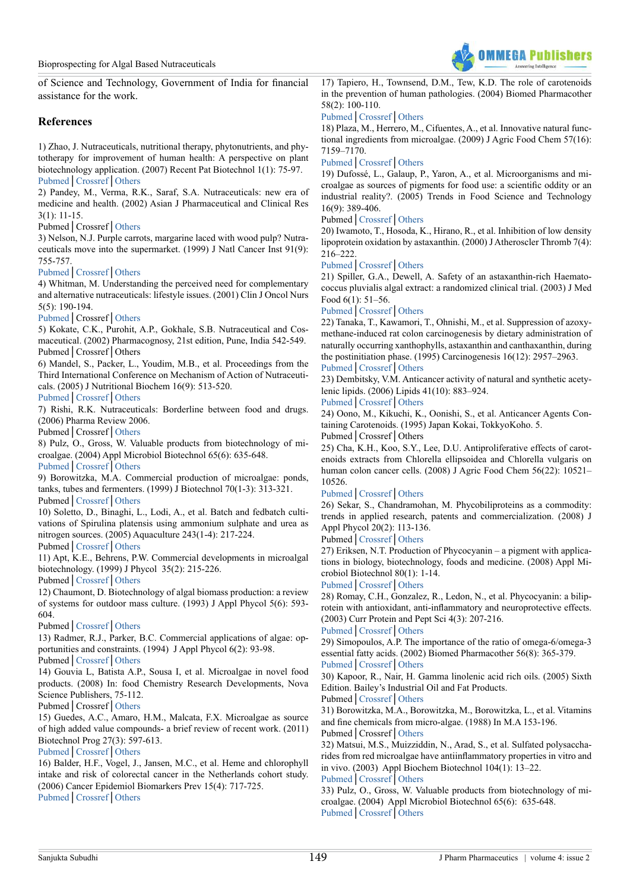

of Science and Technology, Government of India for financial assistance for the work.

# **References**

<span id="page-4-0"></span>1) Zhao, J. Nutraceuticals, nutritional therapy, phytonutrients, and phytotherapy for improvement of human health: A perspective on plant biotechnology application. (2007) Recent Pat Biotechnol 1(1): 75-97. [Pubmed](https://www.ncbi.nlm.nih.gov/pubmed/19075834)│[Crossref](https://doi.org/10.2174/187220807779813893)│[Others](https://pdfs.semanticscholar.org/6366/daa844340d1a09eeed8a285370af88efc8d3.pdf)

2) Pandey, M., Verma, R.K., Saraf, S.A. Nutraceuticals: new era of medicine and health. (2002) Asian J Pharmaceutical and Clinical Res 3(1): 11-15.

#### Pubmed│Crossref│[Others](http://www.ajpcr.com/Vol3Issue1/265.pdf)

<span id="page-4-1"></span>3) Nelson, N.J. Purple carrots, margarine laced with wood pulp? Nutraceuticals move into the supermarket. (1999) J Natl Cancer Inst 91(9): 755-757.

#### [Pubmed](https://www.ncbi.nlm.nih.gov/pubmed/10328102)│[Crossref](https://doi.org/10.1093/jnci/91.9.755)│[Others](https://academic.oup.com/jnci/article/91/9/755/2543968)

4) Whitman, M. Understanding the perceived need for complementary and alternative nutraceuticals: lifestyle issues. (2001) Clin J Oncol Nurs 5(5): 190-194.

#### [Pubmed](https://www.ncbi.nlm.nih.gov/pubmed/11899764)│Crossref│[Others](https://www.researchgate.net/publication/11463647_Understanding_the_perceived_need_for_complementary_and_alternative_nutraceuticals_lifestyle_issues)

<span id="page-4-2"></span>5) Kokate, C.K., Purohit, A.P., Gokhale, S.B. Nutraceutical and Cosmaceutical. (2002) Pharmacognosy, 21st edition, Pune, India 542-549. Pubmed│Crossref│Others

<span id="page-4-3"></span>6) Mandel, S., Packer, L., Youdim, M.B., et al. Proceedings from the Third International Conference on Mechanism of Action of Nutraceuticals. (2005) J Nutritional Biochem 16(9): 513-520.

# [Pubmed](https://www.ncbi.nlm.nih.gov/pubmed/?term=16115539)│[Crossref](https://doi.org/10.1016/j.jnutbio.2005.03.001)│[Others](http://www.sciencedirect.com/science/article/pii/S0955286305000598)

<span id="page-4-4"></span>7) Rishi, R.K. Nutraceuticals: Borderline between food and drugs. (2006) Pharma Review 2006.

Pubmed│Crossref│[Others](http://www.kppub.com/articles/herbal-safety-pharma-review-004/nutraceuticals-borderline-between-food-and-drugs.html)

<span id="page-4-5"></span>8) Pulz, O., Gross, W. Valuable products from biotechnology of microalgae. (2004) Appl Microbiol Biotechnol 65(6): 635-648.

[Pubmed](https://www.ncbi.nlm.nih.gov/pubmed/?term=15300417)│[Crossref](https://doi.org/10.1007/s00253-004-1647-x)│[Others](https://link.springer.com/article/10.1007/s00253-004-1647-x)

<span id="page-4-6"></span>9) Borowitzka, M.A. Commercial production of microalgae: ponds, tanks, tubes and fermenters. (1999) J Biotechnol 70(1-3): 313-321. Pubmed│[Crossref](https://doi.org/10.1016/S0168-1656(99)00083-8)│[Others](http://www.sciencedirect.com/science/article/pii/S0168165699000838)

10) Soletto, D., Binaghi, L., Lodi, A., et al. Batch and fedbatch cultivations of Spirulina platensis using ammonium sulphate and urea as nitrogen sources. (2005) Aquaculture 243(1-4): 217-224.

Pubmed│[Crossref](https://doi.org/10.1016/j.aquaculture.2004.10.005)│[Others](https://www.researchgate.net/publication/223249165_Batch_and_fed-batch_cultivations_of_Spirulina_platensis_using_ammonium_sulphate_and_urea_as_nitrogen_sources)

11) Apt, K.E., Behrens, P.W. Commercial developments in microalgal biotechnology. (1999) J Phycol 35(2): 215-226.

Pubmed│[Crossref](https://doi.org/10.1046/j.1529-8817.1999.3520215.x)│[Others](http://onlinelibrary.wiley.com/doi/10.1046/j.1529-8817.1999.3520215.x/abstract)

<span id="page-4-7"></span>12) Chaumont, D. Biotechnology of algal biomass production: a review of systems for outdoor mass culture. (1993) J Appl Phycol 5(6): 593- 604.

#### Pubmed│[Crossref](https://doi.org/10.1007/BF02184638)│[Others](https://link.springer.com/article/10.1007/BF02184638)

13) Radmer, R.J., Parker, B.C. Commercial applications of algae: opportunities and constraints. (1994) J Appl Phycol 6(2): 93-98. Pubmed│[Crossref](https://doi.org/10.1007/BF02186062)│[Others](https://link.springer.com/article/10.1007/BF02186062)

<span id="page-4-8"></span>14) Gouvia L, Batista A.P., Sousa I, et al. Microalgae in novel food products. (2008) In: food Chemistry Research Developments, Nova Science Publishers, 75-112.

Pubmed│Crossref│[Others](http://www.repository.utl.pt/handle/10400.5/2434)

<span id="page-4-9"></span>15) Guedes, A.C., Amaro, H.M., Malcata, F.X. Microalgae as source of high added value compounds- a brief review of recent work. (2011) Biotechnol Prog 27(3): 597-613.

#### [Pubmed](https://www.ncbi.nlm.nih.gov/pubmed/21452192)│[Crossref](https://doi.org/10.1002/btpr.575)│[Others](http://onlinelibrary.wiley.com/doi/10.1002/btpr.575/abstract)

<span id="page-4-10"></span>16) Balder, H.F., Vogel, J., Jansen, M.C., et al. Heme and chlorophyll intake and risk of colorectal cancer in the Netherlands cohort study. (2006) Cancer Epidemiol Biomarkers Prev 15(4): 717-725. [Pubmed](https://www.ncbi.nlm.nih.gov/pubmed/16614114)│[Crossref](https://doi.org/10.1158/1055-9965.EPI-05-0772)│[Others](https://cris.maastrichtuniversity.nl/portal/en/publications/heme-and-chlorophyll-intake-and-risk-of-colorectal-cancer-in-the-netherlands-cohort-study(8d6de999-ebd7-4cb2-a343-38c0d3549a12).html)

<span id="page-4-11"></span>17) Tapiero, H., Townsend, D.M., Tew, K.D. The role of carotenoids in the prevention of human pathologies. (2004) Biomed Pharmacother 58(2): 100-110.

#### [Pubmed](https://www.ncbi.nlm.nih.gov/pubmed/14992791)│[Crossref](https://doi.org/10.1016/j.biopha.2003.12.006)│[Others](http://www.sciencedirect.com/science/article/pii/S0753332203002130)

<span id="page-4-12"></span>18) Plaza, M., Herrero, M., Cifuentes, A., et al. Innovative natural functional ingredients from microalgae. (2009) J Agric Food Chem 57(16): 7159–7170.

### [Pubmed](https://www.ncbi.nlm.nih.gov/pubmed/19650628)│[Crossref](https://doi.org/10.1021/jf901070g)│[Others](http://pubs.acs.org/doi/abs/10.1021/jf901070g)

<span id="page-4-13"></span>19) Dufossé, L., Galaup, P., Yaron, A., et al. Microorganisms and microalgae as sources of pigments for food use: a scientific oddity or an industrial reality?. (2005) Trends in Food Science and Technology 16(9): 389-406.

#### Pubmed│[Crossref](https://doi.org/10.1016/j.tifs.2005.02.006)│[Others](http://www.sciencedirect.com/science/article/pii/S0924224405001494)

<span id="page-4-14"></span>20) Iwamoto, T., Hosoda, K., Hirano, R., et al. Inhibition of low density lipoprotein oxidation by astaxanthin. (2000) J Atheroscler Thromb 7(4): 216–222.

#### [Pubmed](https://www.ncbi.nlm.nih.gov/pubmed/11521685)│[Crossref](https://doi.org/10.5551/jat1994.7.216)│[Others](https://www.researchgate.net/publication/11823507_Inhibition_of_Low-Density_Lipoprotein_Oxidation_by_Astaxanthin)

21) Spiller, G.A., Dewell, A. Safety of an astaxanthin-rich Haematococcus pluvialis algal extract: a randomized clinical trial. (2003) J Med Food 6(1): 51–56.

#### [Pubmed](https://www.ncbi.nlm.nih.gov/pubmed/12804020)│[Crossref](https://doi.org/10.1089/109662003765184741)│[Others](http://online.liebertpub.com/doi/abs/10.1089/109662003765184741)

<span id="page-4-15"></span>22) Tanaka, T., Kawamori, T., Ohnishi, M., et al. Suppression of azoxymethane-induced rat colon carcinogenesis by dietary administration of naturally occurring xanthophylls, astaxanthin and canthaxanthin, during the postinitiation phase. (1995) Carcinogenesis 16(12): 2957–2963. [Pubmed](https://www.ncbi.nlm.nih.gov/pubmed/8603470)│[Crossref](https://doi.org/10.1093/carcin/16.12.2957)│[Others](http://agris.fao.org/agris-search/search.do?recordID=GB1999001992)

<span id="page-4-16"></span>23) Dembitsky, V.M. Anticancer activity of natural and synthetic acetylenic lipids. (2006) Lipids 41(10): 883–924.

# [Pubmed](https://www.ncbi.nlm.nih.gov/pubmed/17180879)│[Crossref](https://doi.org/10.1007/s11745-006-5044-3)│[Others](https://link.springer.com/article/10.1007/s11745-006-5044-3)

<span id="page-4-17"></span>24) Oono, M., Kikuchi, K., Oonishi, S., et al. Anticancer Agents Containing Carotenoids. (1995) Japan Kokai, TokkyoKoho. 5.

Pubmed│Crossref│Others

<span id="page-4-18"></span>25) Cha, K.H., Koo, S.Y., Lee, D.U. Antiproliferative effects of carotenoids extracts from Chlorella ellipsoidea and Chlorella vulgaris on human colon cancer cells. (2008) J Agric Food Chem 56(22): 10521– 10526.

#### [Pubmed](https://www.ncbi.nlm.nih.gov/pubmed/18942838)│[Crossref](https://doi.org/10.1021/jf802111x)│[Others](http://pubs.acs.org/doi/abs/10.1021/jf802111x)

<span id="page-4-19"></span>26) Sekar, S., Chandramohan, M. Phycobiliproteins as a commodity: trends in applied research, patents and commercialization. (2008) J Appl Phycol 20(2): 113-136.

Pubmed│[Crossref](https://doi.org/10.1007/s10811-007-9188-1)│[Others](https://link.springer.com/article/10.1007/s10811-007-9188-1)

<span id="page-4-20"></span>27) Eriksen, N.T. Production of Phycocyanin – a pigment with applications in biology, biotechnology, foods and medicine. (2008) Appl Microbiol Biotechnol 80(1): 1-14.

# [Pubmed](https://www.ncbi.nlm.nih.gov/pubmed/18563408)│[Crossref](https://doi.org/10.1007/s00253-008-1542-y)│[Others](https://www.researchgate.net/publication/5292074_Production_of_phycocyanin_-_A_pigment_with_applications_in_biology_biotechnology_foods_and_medicine)

28) Romay, C.H., Gonzalez, R., Ledon, N., et al. Phycocyanin: a biliprotein with antioxidant, anti-inflammatory and neuroprotective effects. (2003) Curr Protein and Pept Sci 4(3): 207-216.

#### [Pubmed](https://www.ncbi.nlm.nih.gov/pubmed/12769719)│[Crossref](https://doi.org/10.2174/1389203033487216)│[Others](http://desertlake.com/uploads/studies/22-Article-C-PhycocyaninBiliprotein-Romay.pdf)

<span id="page-4-21"></span>29) Simopoulos, A.P. The importance of the ratio of omega-6/omega-3 essential fatty acids. (2002) Biomed Pharmacother 56(8): 365-379. [Pubmed](https://www.ncbi.nlm.nih.gov/pubmed/12442909)│[Crossref](https://doi.org/10.1016/S0753-3322(02)00253-6)│[Others](http://www.sciencedirect.com/science/article/pii/S0753332202002536)

30) Kapoor, R., Nair, H. Gamma linolenic acid rich oils. (2005) Sixth Edition. Bailey's Industrial Oil and Fat Products. Pubmed│[Crossref](https://doi.org/10.1002/047167849X.bio026)│[Others](http://onlinelibrary.wiley.com/doi/10.1002/047167849X.bio026/abstract)

<span id="page-4-22"></span>31) Borowitzka, M.A., Borowitzka, M., Borowitzka, L., et al. Vitamins and fine chemicals from micro-algae. (1988) In M.A 153-196. Pubmed│Crossref│[Others](https://www.scienceopen.com/document?vid=2cc75cdf-ce5a-4dba-93ac-3a457dcade3e)

<span id="page-4-23"></span>32) Matsui, M.S., Muizziddin, N., Arad, S., et al. Sulfated polysaccharides from red microalgae have antiinflammatory properties in vitro and in vivo. (2003) Appl Biochem Biotechnol 104(1): 13–22.

[Pubmed](https://www.ncbi.nlm.nih.gov/pubmed/12495202)│[Crossref](https://doi.org/10.1385/ABAB:104:1:13)│[Others](https://www.researchgate.net/publication/10979856_Sulfated_Polysaccharides_from_Red_Microalgae_Have_Antiinflammatory_Properties_In_Vitro_and_In_Vivo)

<span id="page-4-24"></span>33) Pulz, O., Gross, W. Valuable products from biotechnology of microalgae. (2004) Appl Microbiol Biotechnol 65(6): 635-648. [Pubmed](https://www.ncbi.nlm.nih.gov/pubmed/15300417)│[Crossref](https://doi.org/10.1007/s00253-004-1647-x)│[Others](https://link.springer.com/article/10.1007/s00253-004-1647-x)